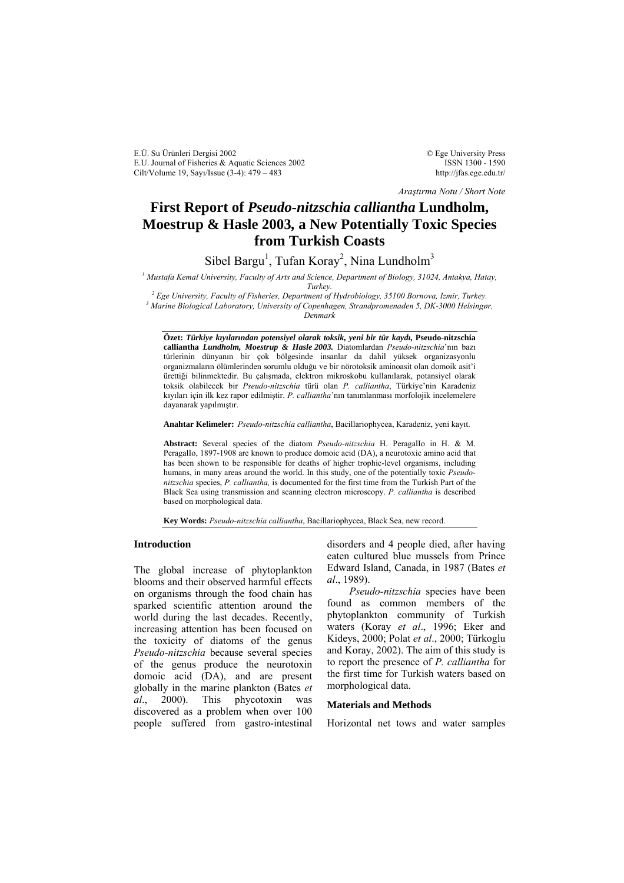E.Ü. Su Ürünleri Dergisi 2002 E.U. Journal of Fisheries & Aquatic Sciences 2002 Cilt/Volume 19, Sayı/Issue (3-4): 479 – 483

© Ege University Press ISSN 1300 - 1590 http://jfas.ege.edu.tr/

*Araştırma Notu / Short Note*

# **First Report of** *Pseudo-nitzschia calliantha* **Lundholm, Moestrup & Hasle 2003***,* **a New Potentially Toxic Species from Turkish Coasts**

Sibel Bargu<sup>1</sup>, Tufan Koray<sup>2</sup>, Nina Lundholm<sup>3</sup>

*1 Mustafa Kemal University, Faculty of Arts and Science, Department of Biology, 31024, Antakya, Hatay, Turkey.*<br><sup>2</sup> Ess University Esselty of Eisheries, Department of

<sup>2</sup> Ege University, Faculty of Fisheries, Department of Hydrobiology, 35100 Bornova, Izmir, Turkey.<br><sup>3</sup> Marine Biological Laboratory, University of Concebagge, Strandpromanador 5, DK 2000 Helsingar  *Marine Biological Laboratory, University of Copenhagen, Strandpromenaden 5, DK-3000 Helsingør, Denmark* 

**Özet:** *Türkiye kıyılarından potensiyel olarak toksik, yeni bir tür kaydı,* **Pseudo-nitzschia calliantha** *Lundholm, Moestrup & Hasle 2003.* Diatomlardan *Pseudo-nitzschia*'nın bazı türlerinin dünyanın bir çok bölgesinde insanlar da dahil yüksek organizasyonlu organizmaların ölümlerinden sorumlu olduğu ve bir nörotoksik aminoasit olan domoik asit'i ürettiği bilinmektedir. Bu çalışmada, elektron mikroskobu kullanılarak, potansiyel olarak toksik olabilecek bir *Pseudo-nitzschia* türü olan *P. calliantha*, Türkiye'nin Karadeniz kıyıları için ilk kez rapor edilmiştir. *P. calliantha*'nın tanımlanması morfolojik incelemelere dayanarak yapılmıştır.

**Anahtar Kelimeler:** *Pseudo-nitzschia calliantha*, Bacillariophycea, Karadeniz, yeni kayıt.

**Abstract:** Several species of the diatom *Pseudo-nitzschia* H. PeragalIo in H. & M. PeragalIo, 1897-1908 are known to produce domoic acid (DA), a neurotoxic amino acid that has been shown to be responsible for deaths of higher trophic-level organisms, including humans, in many areas around the world. In this study, one of the potentially toxic *Pseudonitzschia* species, *P. calliantha,* is documented for the first time from the Turkish Part of the Black Sea using transmission and scanning electron microscopy. *P. calliantha* is described based on morphological data.

**Key Words:** *Pseudo-nitzschia calliantha*, Bacillariophycea, Black Sea, new record.

# **Introduction**

The global increase of phytoplankton blooms and their observed harmful effects on organisms through the food chain has sparked scientific attention around the world during the last decades. Recently, increasing attention has been focused on the toxicity of diatoms of the genus *Pseudo-nitzschia* because several species of the genus produce the neurotoxin domoic acid (DA), and are present globally in the marine plankton (Bates *et al*., 2000). This phycotoxin was discovered as a problem when over 100 people suffered from gastro-intestinal disorders and 4 people died, after having eaten cultured blue mussels from Prince Edward Island, Canada, in 1987 (Bates *et al*., 1989).

 *Pseudo-nitzschia* species have been found as common members of the phytoplankton community of Turkish waters (Koray *et al*., 1996; Eker and Kideys, 2000; Polat *et al*., 2000; Türkoglu and Koray, 2002). The aim of this study is to report the presence of *P. calliantha* for the first time for Turkish waters based on morphological data.

#### **Materials and Methods**

Horizontal net tows and water samples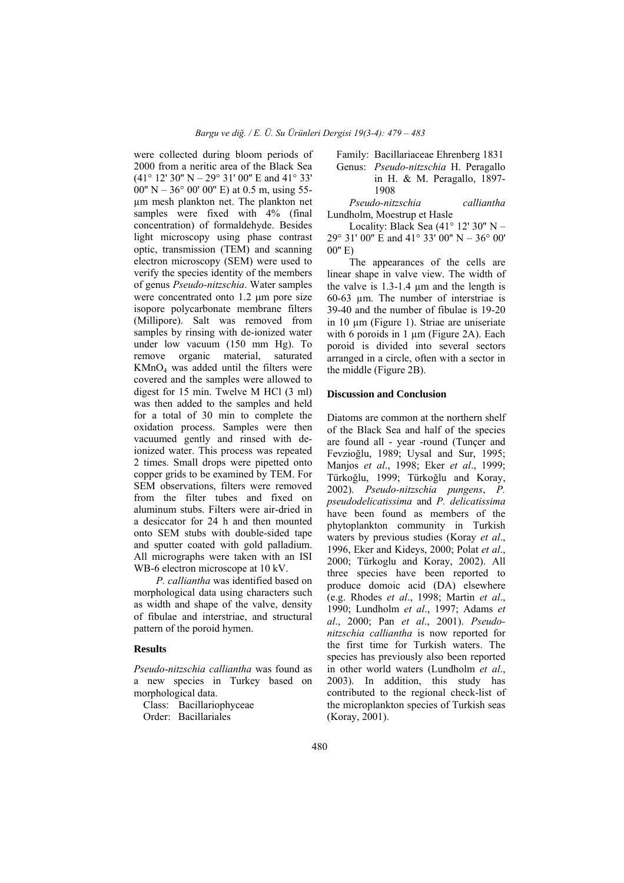were collected during bloom periods of 2000 from a neritic area of the Black Sea (41° 12' 30'' N – 29° 31' 00'' E and 41° 33' 00" N – 36° 00' 00" E) at 0.5 m, using 55µm mesh plankton net. The plankton net samples were fixed with 4% (final concentration) of formaldehyde. Besides light microscopy using phase contrast optic, transmission (TEM) and scanning electron microscopy (SEM) were used to verify the species identity of the members of genus *Pseudo-nitzschia*. Water samples were concentrated onto 1.2 µm pore size isopore polycarbonate membrane filters (Millipore). Salt was removed from samples by rinsing with de-ionized water under low vacuum (150 mm Hg). To remove organic material, saturated  $KMnO<sub>4</sub>$  was added until the filters were covered and the samples were allowed to digest for 15 min. Twelve M HCl (3 ml) was then added to the samples and held for a total of 30 min to complete the oxidation process. Samples were then vacuumed gently and rinsed with deionized water. This process was repeated 2 times. Small drops were pipetted onto copper grids to be examined by TEM. For SEM observations, filters were removed from the filter tubes and fixed on aluminum stubs. Filters were air-dried in a desiccator for 24 h and then mounted onto SEM stubs with double-sided tape and sputter coated with gold palladium. All micrographs were taken with an ISI WB-6 electron microscope at 10 kV.

 *P. calliantha* was identified based on morphological data using characters such as width and shape of the valve, density of fibulae and interstriae, and structural pattern of the poroid hymen.

# **Results**

*Pseudo-nitzschia calliantha* was found as a new species in Turkey based on morphological data.

 Class: Bacillariophyceae Order: Bacillariales

 Family: Bacillariaceae Ehrenberg 1831 Genus: *Pseudo-nitzschia* H. Peragallo in H. & M. Peragallo, 1897- 1908

 *Pseudo-nitzschia calliantha* Lundholm, Moestrup et Hasle

Locality: Black Sea (41° 12' 30" N – 29° 31′ 00″ E and 41° 33′ 00″ N – 36° 00′ 00'' E)

 The appearances of the cells are linear shape in valve view. The width of the valve is 1.3-1.4 µm and the length is 60-63 µm. The number of interstriae is 39-40 and the number of fibulae is 19-20 in 10 µm (Figure 1). Striae are uniseriate with 6 poroids in 1  $\mu$ m (Figure 2A). Each poroid is divided into several sectors arranged in a circle, often with a sector in the middle (Figure 2B).

## **Discussion and Conclusion**

Diatoms are common at the northern shelf of the Black Sea and half of the species are found all - year -round (Tunçer and Fevzioğlu, 1989; Uysal and Sur, 1995; Manjos *et al*., 1998; Eker *et al*., 1999; Türkoğlu, 1999; Türkoğlu and Koray, 2002). *Pseudo-nitzschia pungens*, *P. pseudodelicatissima* and *P. delicatissima* have been found as members of the phytoplankton community in Turkish waters by previous studies (Koray *et al*., 1996, Eker and Kideys, 2000; Polat *et al*., 2000; Türkoglu and Koray, 2002). All three species have been reported to produce domoic acid (DA) elsewhere (e.g. Rhodes *et al*., 1998; Martin *et al*., 1990; Lundholm *et al*., 1997; Adams *et al*., 2000; Pan *et al*., 2001). *Pseudonitzschia calliantha* is now reported for the first time for Turkish waters. The species has previously also been reported in other world waters (Lundholm *et al*., 2003). In addition, this study has contributed to the regional check-list of the microplankton species of Turkish seas (Koray, 2001).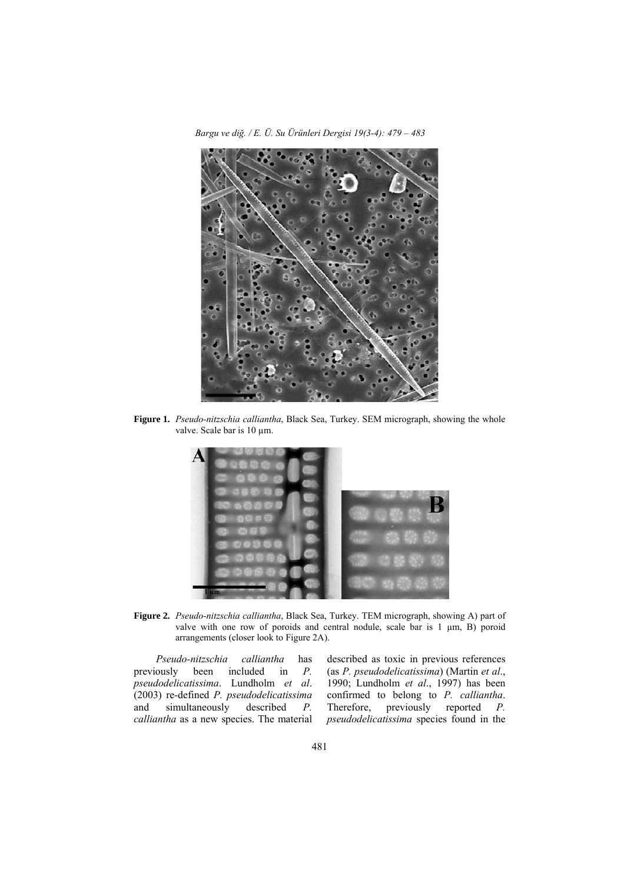*Bargu ve diğ. / E. Ü. Su Ürünleri Dergisi 19(3-4): 479 – 483* 



**Figure 1.** *Pseudo-nitzschia calliantha*, Black Sea, Turkey. SEM micrograph, showing the whole valve. Scale bar is 10 µm.



**Figure 2.** *Pseudo-nitzschia calliantha*, Black Sea, Turkey. TEM micrograph, showing A) part of valve with one row of poroids and central nodule, scale bar is  $1 \mu m$ , B) poroid arrangements (closer look to Figure 2A).

 *Pseudo-nitzschia calliantha* has previously been included in *P. pseudodelicatissima*. Lundholm *et al*. (2003) re-defined *P. pseudodelicatissima* simultaneously described *P*. *calliantha* as a new species. The material

described as toxic in previous references (as *P. pseudodelicatissima*) (Martin *et al*., 1990; Lundholm *et al*., 1997) has been confirmed to belong to *P. calliantha*. reported *P. pseudodelicatissima* species found in the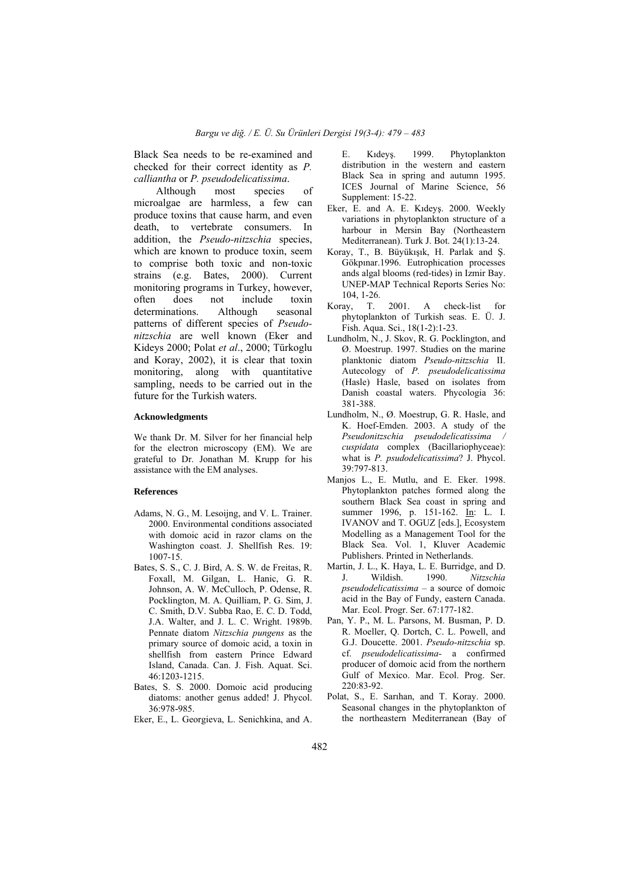Black Sea needs to be re-examined and checked for their correct identity as *P. calliantha* or *P. pseudodelicatissima*.

 Although most species of microalgae are harmless, a few can produce toxins that cause harm, and even death to vertebrate consumers. In addition, the *Pseudo-nitzschia* species, which are known to produce toxin, seem to comprise both toxic and non-toxic strains (e.g. Bates, 2000). Current monitoring programs in Turkey, however, often does not include toxin determinations. Although seasonal patterns of different species of *Pseudonitzschia* are well known (Eker and Kideys 2000; Polat *et al*., 2000; Türkoglu and Koray, 2002), it is clear that toxin monitoring, along with quantitative sampling, needs to be carried out in the future for the Turkish waters.

## **Acknowledgments**

We thank Dr. M. Silver for her financial help for the electron microscopy (EM). We are grateful to Dr. Jonathan M. Krupp for his assistance with the EM analyses.

#### **References**

- Adams, N. G., M. Lesoijng, and V. L. Trainer. 2000. Environmental conditions associated with domoic acid in razor clams on the Washington coast. J. Shellfish Res. 19: 1007-15.
- Bates, S. S., C. J. Bird, A. S. W. de Freitas, R. Foxall, M. Gilgan, L. Hanic, G. R. Johnson, A. W. McCulloch, P. Odense, R. Pocklington, M. A. Quilliam, P. G. Sim, J. C. Smith, D.V. Subba Rao, E. C. D. Todd, J.A. Walter, and J. L. C. Wright. 1989b. Pennate diatom *Nitzschia pungens* as the primary source of domoic acid, a toxin in shellfish from eastern Prince Edward Island, Canada. Can. J. Fish. Aquat. Sci. 46:1203-1215.
- Bates, S. S. 2000. Domoic acid producing diatoms: another genus added! J. Phycol. 36:978-985.
- Eker, E., L. Georgieva, L. Senichkina, and A.

E. Kıdeyş. 1999. Phytoplankton distribution in the western and eastern Black Sea in spring and autumn 1995. ICES Journal of Marine Science, 56 Supplement: 15-22.

- Eker, E. and A. E. Kıdeyş. 2000. Weekly variations in phytoplankton structure of a harbour in Mersin Bay (Northeastern Mediterranean). Turk J. Bot. 24(1):13-24.
- Koray, T., B. Büyükışık, H. Parlak and Ş. Gökpınar.1996. Eutrophication processes ands algal blooms (red-tides) in Izmir Bay. UNEP-MAP Technical Reports Series No: 104, 1-26.
- Koray, T. 2001. A check-list for phytoplankton of Turkish seas. E. Ü. J. Fish. Aqua. Sci., 18(1-2):1-23.
- Lundholm, N., J. Skov, R. G. Pocklington, and Ø. Moestrup. 1997. Studies on the marine planktonic diatom *Pseudo-nitzschia* II. Autecology of *P. pseudodelicatissima* (Hasle) Hasle, based on isolates from Danish coastal waters. Phycologia 36: 381-388.
- Lundholm, N., Ø. Moestrup, G. R. Hasle, and K. Hoef-Emden. 2003. A study of the *Pseudonitzschia pseudodelicatissima / cuspidata* complex (Bacillariophyceae): what is *P. psudodelicatissima*? J. Phycol. 39:797-813.
- Manjos L., E. Mutlu, and E. Eker. 1998. Phytoplankton patches formed along the southern Black Sea coast in spring and summer 1996, p. 151-162. In: L. I. IVANOV and T. OGUZ [eds.], Ecosystem Modelling as a Management Tool for the Black Sea. Vol. 1, Kluver Academic Publishers. Printed in Netherlands.
- Martin, J. L., K. Haya, L. E. Burridge, and D. J. Wildish. 1990. *Nitzschia pseudodelicatissima* – a source of domoic acid in the Bay of Fundy, eastern Canada. Mar. Ecol. Progr. Ser. 67:177-182.
- Pan, Y. P., M. L. Parsons, M. Busman, P. D. R. Moeller, Q. Dortch, C. L. Powell, and G.J. Doucette. 2001. *Pseudo-nitzschia* sp. cf. *pseudodelicatissima-* a confirmed producer of domoic acid from the northern Gulf of Mexico. Mar. Ecol. Prog. Ser.  $220.83 - 92$
- Polat, S., E. Sarıhan, and T. Koray. 2000. Seasonal changes in the phytoplankton of the northeastern Mediterranean (Bay of